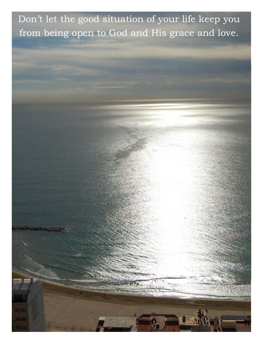Don't let the good situation of your life keep you from being open to God and His grace and love.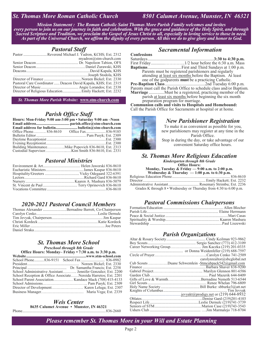### *St. Thomas More Roman Catholic Church 8501 Calumet Avenue, Munster, IN 46321*

*Mission Statement : The Roman Catholic Saint Thomas More Parish Family welcomes and invites every person to join us on our journey in faith and celebration. With the grace and guidance of the Holy Spirit, and through Sacred Scripture and Tradition, we proclaim the Gospel of Jesus Christ to all, especially in loving service to those in need. As part of the Universal Church, we affirm the dignity of every person. All this we do to give glory and honor to God.*

#### *Pastoral Staff*

| Pastor Reverend Michael J. Yadron, KCHS; Ext. 2312             |
|----------------------------------------------------------------|
| myadron@stm-church.com                                         |
|                                                                |
|                                                                |
|                                                                |
|                                                                |
|                                                                |
| Pastoral Care Coordinator  Deacon David Kapala, KHS; Ext. 2315 |
|                                                                |
|                                                                |

*St. Thomas More Parish Website:* **www.stm-church.com** 

### *Parish Office Staff*

| Hours: Mon-Friday 9:00 am-3:00 pm • Saturday 9:00 am -Noon |
|------------------------------------------------------------|
|                                                            |
|                                                            |
|                                                            |
|                                                            |
|                                                            |
|                                                            |
| Building MaintenanceMike Popovich 836-8610, Ext. 2313      |
|                                                            |

### *Pastoral Ministries*

### *2020-2021 Pastoral Council Members*

| Thomas Alexander Bernadine Barrett, Co-Chairperson |
|----------------------------------------------------|
|                                                    |
|                                                    |
|                                                    |
|                                                    |
|                                                    |

#### *St. Thomas More School Preschool through 8th Grade*

#### **Office Hours: Monday– Friday • 7:30 a.m. to 3:30 p.m.**

| School Administrative Assistant Jennifer Gonzalez; Ext. 2200   |  |
|----------------------------------------------------------------|--|
| School Reception & Office AssociateNereida Harretos; Ext. 2201 |  |
|                                                                |  |
|                                                                |  |
|                                                                |  |
|                                                                |  |

#### *Weis Center*  **8635 Calumet Avenue • Munster, IN 46321**

Phone ..................................................................................... 836-2660

#### *Sacramental Information*

**Confessions**  Saturdays ............................................................. **3:30 to 4:30 p.m.** First Friday ............. …………..1/2 hour before the 6:30 a.m. Mass **Baptisms** ............................... First and Third Sundays at 1:00 p.m. Parents must be registered parishioners and regularly attending at least six months before the Baptism. At least one of the godparents **must** be a practicing Catholic. **Pre-Baptism Class** .....................................2nd Tuesday 6:00 p.m. Parents must call the Parish Office to schedule class and/or Baptism.

**Marriage** .............. Must be a registered, practicing member of the parish at least six months before beginning the six month

preparation program for marriage.

**Communion calls and visits to Hospitals and Homebound:** Call the Parish Office for Sacraments at hospital or at home.



new parishioners may register at any time in the Parish Office. Stop in during the day, or take advantage of our

convenient Saturday office hours.

### *St. Thomas More Religious Education*

*Kindergarten through 8th Grade*  **Office Hours:** 

**Monday, Tuesday & Friday — 9:00 a.m. to 2:00 p.m.** 

| Wednesday & Thursday $-1:00$ p.m. to 6:30 p.m. |
|------------------------------------------------|
|                                                |
|                                                |
|                                                |
|                                                |

Grades K through 8 • Wednesday or Thursday from 4:30 to 6:00 p.m.

#### *Pastoral Commissions Chairpersons*

### *Parish Organizations*

| carolynrealtor@sbcglobal.net                         |
|------------------------------------------------------|
| Cub Scouts Duane Schwemlein -Stmcubpack542@gmail.com |
|                                                      |
|                                                      |
|                                                      |
| Gifts of Love & WarmthBernadine Nemeth 513-6544      |
|                                                      |
|                                                      |
|                                                      |
|                                                      |
|                                                      |
|                                                      |
|                                                      |
|                                                      |

*Please remember St. Thomas More in your Will and Estate Planning*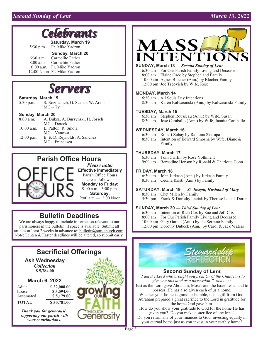## *Second Sunday of Lent* March 13, 2022

# *Sramts*

**Saturday, March 19**  5:30 p.m. Fr. Mike Yadron

#### **Sunday, March 20**

 6:30 a.m. Carmelite Father Carmelite Father 10:00 a.m. Fr. Mike Yadron 12:00 Noon Fr. Mike Yadron



#### **Saturday, March 19**

5:30 p.m. S. Rozmanich, G. Scalzo, W. Arens  $MC \sim Ty$ 

#### **Sunday, March 20**

| $8:00$ a.m.  | A. Buksa, A. Burzynski, H. Jorsch |
|--------------|-----------------------------------|
|              | $MC \sim Dereck$                  |
| $10:00$ a.m. | L. Patton, R. Smola               |
|              | $MC \sim V$ anessa                |
| $12:00$ p.m. | B. & D. Reynolds, A. Sanchez      |
|              | $MC \sim$ Francesca               |

# **Parish Office Hours**



*Please note:*  **Effective Immediately**  Parish Office Hours are as follows: **Monday to Friday:**  9:00 a.m.– 3:00 p.m. **Saturday:**  9:00 a.m.—12:00 Noon

# **Bulletin Deadlines**

We are always happy to include information relevant to our parishioners in the bulletin, if space is available. Submit all articles at least 2 weeks in advance to: bulletin@stm-church.com. Note: Lenten & Easter deadlines will be altered, so submit early.

# **Sacrificial Offerings**

**Ash Wednesday**  *Collection*  **\$ 5,784.00** 

#### **March 6, 2022**

| Adult     | \$22,008.00 |
|-----------|-------------|
| Loose     | \$3,594.00  |
| Automated | \$5,179.00  |
| TOTAL     | \$30,781.00 |

*Thank you for generously supporting our parish with your contributions.* 





#### **SUNDAY, March 13** *— Second Sunday of Lent*

 6:30 am For Our Parish Family Living and Deceased 8:00 am Elaine Caco by Stephen and Family 10:00 am Agnes Blocher (Ann.) by Blocher Family 12:00 pm Joe Trgovich by Wife, Rose

#### **MONDAY, March 14**

6:30 am All Souls Day Intentions

8:30 am Karen Kalwasinski (Ann.) by Kalwasinski Family

#### **TUESDAY, March 15**

 6:30 am Stephen Rousseau (Ann.) by Wife, Susan 8:30 am Jose Caraballo (Ann.) by Wife, Juanita Caraballo

#### **WEDNESDAY, March 16**

 6:30 am Robert Zubay by Ramona Skarupa Intention of Edward Smosna by Wife, Diane & Family

#### **THURSDAY, March 17**

 6:30 am Tom Griffin by Rose Yothment 9:00 am Bernadine Henson by Ronald & Charlotte Conn

#### **FRIDAY, March 18**

 6:30 am John Jurkash (Ann.) by Jurkash Family 8:30 am Cecilia Kristl (Ann.) by Family

**SATURDAY, March 19** *— St. Joseph, Husband of Mary* 

 8:30 am Chet Milen by Family 5:30 pm Frank & Dorothy Laciak by Therese Laciak Doran

#### **SUNDAY, March 20 —** *Third Sunday of Lent*

 6:30 am Intention of Rich Cox by Sue and Jeff Cox 8:00 am For Our Parish Family Living and Deceased 10:00 am Gary Garcia (Ann.) by the Serrano Family 12:00 pm Dorothy Dubeck (Ann.) by Carol & Jack Waters



#### **Second Sunday of Lent**

*"I am the Lord who brought you from Ur of the Chaldeans to*  give you this land as a possession." GENESIS 15:7 Just as the Lord gave Abraham, Moses and the Israelites a land to

possess, He has also given each of us a home.

Whether your home is grand or humble, it is a gift from God. Abraham prepared a great sacrifice to the Lord in gratitude for the home God gave him.

How do you show your gratitude to God for the home He has given you? Do you make a sacrifice of any kind?

Do you return any of your finances to God, investing equally in your eternal home just as you invest in your earthly home?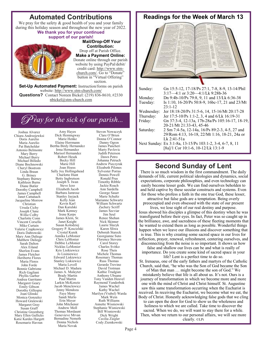# **Automated Contributions**

We pray for the safety & good health of you and your family during this holiday season and throughout the new year of 2022.

#### **We thank you for your continued support of our parish!**



 **Mail/Drop-Off Your Contribution:**  Drop off at Parish Office. **Make a Payment Online:**  Donate online through our parish website by using PayPal/debit/ credit card: http://www.stmchurch.com/. Go to "Donate" button in "Virtual Offering" section.

**Set-Up Automated Payment:** Instruction/forms on parish website: http://www.stm-church.com/ **Questions?** Contact Noreen Bickel: (219) 836-8610, #2330 nbickel@stm-church.com

# *C ray for the sick of our parish...*

Amy Hayes

Joshua Alvarez Chiara Andrzejewksi Doris Aurelio Maria Aurelio Pat Batchelder Antonio Belmonte Mary Berry Michael Berry Michael Billedo Diane Bochnowski Cheryl Bostrom Linda Braun G. Briney Stephany Burney Kathleen Burns Diane Butler Dorothy Campbell James Campbell Janet Cattanach Jacqueline Morrow Christian Ursula Cichy Joseph Clune Willie Colby Charlotte Conn Vincent Corsello Mike Curtain Valerie Czapkowicz Doris Dabrowski Mary Ann Daliege Matthew Daliege Sarah Dalton Alex Eiland Sherlon Evans James Fletcher Heriberto Flores Maria Flores John Forde Bonnie Gabrione Rich Gagliani Phyllis Garber Andrea Garritano Margaret Geary Emily Gibson Dorothy Gillespie Joan Glinski Monica Gonzalez Howard Gralewski Margaret Gray Susan Graff Christine Greenberg Mary Ellen Gullicks Katie Kardes Hargett Rosemarie Havran

Dick Hemingway Marie Henke Elaine Herrmann Bertha Birdy Hernandez Irma Hernandez Marisol Hernandez Robert Hesek Becky Hill Marie Hill Joan Hoess Sally Joy Hollingshead Charlotte Hunt Betty Ingbretson Joseph S. Iwan Steve Izzo Elizabeth Jacob Barbara Jamrose Stanley Jayjack Kelly Jean Kevin Karl Dan Karulski Mark Kenney Irene Kerps James Klein, Sr. Janet Knight Susan Kolodziej Gregory P. Koscielski Crystal Kurek Annika LeMonier Chris LeMonier Debbie LeMonier Nicklas LeMonier Kris Lisikiewicz Jo Lisiniewicz Edward Liskiewicz Stanley Liskiewicz Maria Lovell Michael D. Madura James A. Malayter Brady Martin Paul Martin Larkin McKenzie Jacob Menclewicz Jenny Mendoza Faye Meny Sandi Merlo Erin Meyer John Mitchener Andrew Moll Thomas Mordaunt Genevieve Mrvan Bernadine Nemeth Donna Nichols Maria Novak

Steven Nowaczyk Clare O'Brien Donna O'Connor Danny Ogren James Pancheri Marty Pavlovic Judith Peterson Dawn Petro Johanna Petruch Andrew Pieczyrak Elizabeth Pilones Sylvester Porras Dennis Powell Ronald Prus Timothy Ribble Jackie Roach Ann Sardella George Sauer Marie Schultz Marianne Schwartz William Schwartz Zachery Scriff James Secviar Jim Seul Renee Shehan Nick Skinner Laurie Slazyk Karen Sliwa Deborah Stareck Georgianne Suto Florence Stevens Carol Storey Charles Svitko Rose Theis Michele Thomas Rosemary Thomas Russ Thomas Gerardo Trevino David Trotman Kathie Trudgian Anthony Ubuane Tony Vanden Heuvel Raymond Vanderbok James Wachel Kathy Wachel Marilyn (Vrabel) Warda Mark Wein Ruth Williams Annette Wisniewski Stephanie Wisniewski Bill Wisniewski Dick Wright Cecilia Ziegler Cody Ziemkowski

## **Readings for the Week of March 13**



| Sunday:    | Gn 15:5-12, 17-18/Ps 27:1, 7-8, 8-9, 13-14/Phil           |
|------------|-----------------------------------------------------------|
|            | $3:17-4:1$ or $3:20-4:1/Lk$ 9:28b-36                      |
| Monday:    | Dn 9:4b-10/Ps 79:8, 9, 11 and 13/Lk 6:36-38               |
| Tuesday:   | Is 1:10, 16-20/Ps 50:8-9, 16bc-17, 21 and 23/Mt           |
|            | $23:1-12$                                                 |
| Wednesday: | Jer 18:18-20/Ps 31:5-6, 14, 15-16/Mt 20:17-28             |
| Thursday:  | Jer 17:5-10/Ps 1:1-2, 3, 4 and 6/Lk 16:19-31              |
| Friday:    | Gn 37:3-4, 12-13a, 17b-28a/Ps 105:16-17, 18-19,           |
|            | 20-21/Mt 21:33-43, 45-46                                  |
| Saturday:  | 2 Sm 7:4-5a, 12-14a, 16/Ps 89:2-3, 4-5, 27 and            |
|            | 29/Rom 4:13, 16-18, 22/Mt 1:16, 18-21, 24a or             |
|            | Lk 2:41-51a                                               |
|            | Next Sunday: Ex 3:1-8a, 13-15/Ps 103:1-2, 3-4, 6-7, 8, 11 |
|            | [8a]/1 Cor 10:1-6, 10-12/Lk 13:1-9                        |

# **Second Sunday of Lent**

There is so much wisdom in the first commandment. The daily demands of life, current political ideologies and dynamics, social expectations, corporate philosophies, and even technology can easily become lesser gods. We can find ourselves beholden to and held captive by these secular constructs and systems. Even for those who profess a faith in the one true God, these lesser, attractive but false gods are a temptation. Being overly preoccupied and even obsessed with the state of our present

lives, we lose sight of our real destiny and purpose. Jesus showed his disciples a glimpse of this destiny when he was transfigured before their eyes. In fact, Peter was so caught up in the brilliance, awe, and sacredness of these fleeting moments that he wanted to extend them as long as possible. Wonderful things happen when we leave our illusions and discover something that is true. This is why creating some sacred space in our lives for reflection, prayer, renewal, refreshment, centering ourselves, and disconnecting from the noise is so important. It shows us how

false and shallow our lives can be and what is really of importance. Do you create some kind of sacred space in your life? Lent is a perfect time to do so.

St. Irenaeus, one of the early fathers and martyrs of the Catholic Church, said that, "he who was the Son of God became the Son of Man that man … might become the son of God." We mistakenly believe that life is all about us. It's not. Ours is a journey of transformation in which we become more and more one with the mind of Christ and Christ himself. St. Augustine saw this same transformation occurring when the Eucharist is received. In receiving the Eucharist, we become what we eat, the Body of Christ. Honestly acknowledging false gods that we cling to can open the door for God to show us the wholeness and holiness to which we are called. Take time to discover the sacred. When we do, we will want to stay there for a while. Then, when we return to our personal affairs, we will see more clearly. ©LPi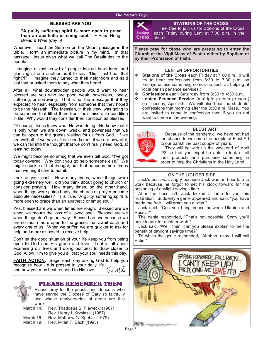#### *The Pastor's Page*

#### **BLESSED ARE YOU**

#### **"A guilty suffering spirit is more open to grace than an apathetic or smug soul."** ~ Edna Hong, *Bread & Wine (day 5)*

Whenever I read the Sermon on the Mount passage in the Bible, I form an immediate picture in my mind. In that passage, Jesus gives what we call The Beatitudes to the people.

I imagine a vast crowd of people looked bewildered and glancing at one another as if to say, "Did I just hear that right?!" I imagine they turned to their neighbors and said just that or asked them to say what they heard.

After all, what downtrodden people would want to hear blessed are you who are poor, weak, powerless, lonely, suffering, or sorrowing. That is not the message that they expected to hear, especially from someone that they hoped to be the Messiah. The Messiah, in their view, was going to be someone that lifted them from their miserable condition in life. Why would they consider their condition as blessed.

Of course, Jesus knew what He was doing. He knew that it is only when we are down, weak, and powerless that we can be open to the graces waiting for us from God. If we are well off, if we have all our needs met, if we are powerful, we can fall into the thought that we don't really need God, at least not today.

We might become so smug that we even tell God, "I've got today covered. Why don't you go help someone else." We might chuckle at that thought; but, that happens more times than we might care to admit.

Look at your past. How many times, when things were going extremely well, did you think about going to church or consider praying. How many times, on the other hand, when things were going badly, did church or prayer become absolute necessities? It is true. "A guilty suffering spirit is more open to grace than an apathetic or smug soul."

Yes, blessed are we when times are rough. Blessed are we when we mourn the loss of a loved one. Blessed are we when things don't go our way. Blessed are we because we are so much more open to the graces that await each and every one of us. When we suffer, we are quicker to ask for help and more disposed to receive help.

Don't let the good situation of your life keep you from being open to God and His grace and love. Lent is all about examining our lives and doing our best to draw closer to God. Allow Him to give you all that your soul needs this day.

**FAITH ACTION:** Begin each day asking God to help you recognize how He is present in your daily life In Mike and how you may best respond to His love.



Please pray for the priests and deacons who have served the Diocese of Gary so faithfully and whose anniversaries of death are this week:

March 14: Rev. Thaddeus S. Plawecki (1967) Rev. Henry I. Krysinski (1987)<br>March 16: Rev. Matthew G. Spebar (1979 Rev. Matthew G. Spebar (1979) March 19: Rev. Milan F. Bach (1995)



#### **STATIONS OF THE CROSS**

 Feel free to join us for Stations of the Cross each Friday during Lent at 7:00 p.m. in the church.

**Please pray for those who are preparing to enter the Church at the Vigil Mass of Easter either by Baptism or by their Profession of Faith.** 

#### **LENTEN OPPORTUNITIES**

- **Stations of the Cross** each Friday at 7:00 p.m. (I will try to hear confessions from 6:30 to 7:30 p.m. on Fridays unless something comes up such as helping at local parish penance services.)
- **Confessions** each Saturday from 3:30 to 4:30 p.m.
- **Lenten Penance Service** (multiple priests present) on Tuesday, April 5th. We will also hear the students' confessions that morning after the 8:30 a.m. Mass. You are invited to come to confession then if you do not want to come in the evening.



 Because of the pandemic, we have not had the chance to welcome the people of Blest Art to our parish the past couple of years.

 They will be with us the weekend of April 2/3 so that you might be able to look at all their products and purchase something in order to help the Christians in the Holy Land.

#### **ON THE LIGHTER SIDE**

 Jack's boss was angry because Jack was an hour late to work because he forgot to set his clock forward for the beginning of daylight savings time.

 After the boss left, Jack kicked a lamp to vent his frustration. Suddenly a genie appeared and said, "you have made me free. I will grant you a wish."

 Jack said, "Can you bring peace between Ukraine and Russia?"

 The genie responded, "That's not possible. Sorry you'll have to ask for another wish."

 Jack said, "Well, then, can you please explain to me the benefit of daylight savings time?"

 To which the genie responded, "Ahhhhh, okay. I will call Putin."

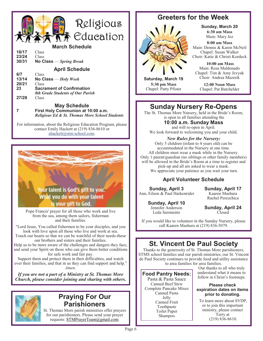

#### **March Schedule**

| 16/17 | Class                    |
|-------|--------------------------|
| 23/24 | Class                    |
| 30/31 | No Class $-Spring$ Break |
|       | <b>April Schedule</b>    |
| 6/7   | Class                    |
| 13/14 | No Class $=$ Holy Wook   |

| .     | $\sim$ 0 0 0 0 $\sim$ 110 $\ell$ $\ell$ $\epsilon$ $\epsilon$               |
|-------|-----------------------------------------------------------------------------|
| 20/21 | <b>Class</b>                                                                |
| 23    | <b>Sacrament of Confirmation</b><br><b>8th Grade Students of Our Parish</b> |
| 27/28 | <b>Class</b>                                                                |

#### **May Schedule 7 First Holy Communion at 10:00 a.m.**   *Religious Ed & St. Thomas More School Students*

For information, about the Religious Education Program, please contact Emily Hackett at (219) 836-8610 or ehackett@stm-school.com.



Pope Francis' prayer for all those who work and live from the sea, among them sailors, fisherman and their families.

"Lord Jesus, You called fishermen to be your disciples, and you look with love upon all those who live and work at sea. Touch our hearts so that we can be watchful of their needs-these

our brothers and sisters and their families. Help us to be more aware of the challenges and dangers they face, and send your Spirit on those who can give them better conditions for safe work and fair pay.

Support them and protect them in their difficulties, and watch over their families, and that in us they can find support and help." *Amen.*

*If you are not a part of a Ministry at St. Thomas More Church, please consider joining and sharing with others.* 



# **Praying For Our Parishioners**

St. Thomas More parish ministries offer prayers for our parishioners. Please send your prayer requests: STMPrayerTeam@gmail.com.

# **Greeters for the Week**



**Saturday, March 19 5:30 pm Mass**  Chapel: Patty Pfister

**Sunday, March 20 6:30 am Mass**  Main: Mary Jez

**8:00 am Mass**  Main: Dennis & Karen McNeil Chapel: Susan Walker Choir: Katie & Christi Kordeck

 **10:00 am Mass**  Main: Rosa Maldonado Chapel: Tim & Amy Jevyak Choir: Andrea Mazerik

**12:00 Noon Mass**  Chapel: Pat Batchelder

# **Sunday Nursery Re-Opens**

The St. Thomas More Nursery, held in the Bride's Room, is open to all families attending the **10:00 a.m. Sunday Mass**  and will re-open in April.

We look forward to welcoming you and your child.

*New Rules for the Nursery:*  Only 5 children (infant to 4 years old) can be accommodated in the Nursery at one time. All children must wear a mask while in the Nursery. Only 1 parent/guardian (no siblings or other family members) will be allowed in the Bride's Room at a time to register and pick-up and all are asked to wear a mask. We appreciate your patience as you wait your turn.

### **April Volunteer Schedule**

**Sunday, April 3** Ann, Eileen & Paul Harkenrider **Sunday, April 17**

Kaaren Mashura Rachel Perezchica

**Sunday, April 10** Jennifer Anderson Leda Sarmiento

**Sunday, April 24** Closed

If you would like to volunteer in the Sunday Nursery, please call Kaaren Mashura at (219) 836-5079.

# **St. Vincent De Paul Society**

Thanks to the generosity of St. Thomas More parishioners, STMS school families and our parish ministries, our St. Vincent de Paul Society continues to provide food and utility assistance to area families for area families.

### **Food Pantry Needs:**

Pasta & Pasta Sauce Canned Beef Stew Complete Pancake Mixes Canned Pasta Jelly Canned Fruit Toothpaste Toilet Paper Shampoo

Our thanks to all who truly understand what it means to follow in Christ's footsteps.

#### **Please check expiration dates on items prior to donating.**

 To learn more about SVDP, or to join this important ministry, please contact Terry at (219) 836-8610.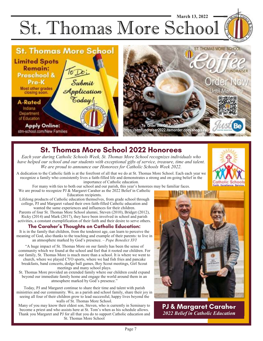St. Thomas More School **March 13, 2022** 



# **St. Thomas More School 2022 Honorees**

*Each year during Catholic Schools Week, St. Thomas More School recognizes individuals who have helped our school and our students with exceptional gifts of service, treasure, time and talent. We are proud to announce our Honorees for Catholic Schools Week 2022.* 

A dedication to the Catholic faith is at the forefront of all that we do at St. Thomas More School. Each each year we recognize a family who consistently lives a faith-filled life and demonstrates a strong and on-going belief in the importance of Catholic education.

For many with ties to both our school and our parish, this year's honorees may be familiar faces. We are proud to recognize PJ & Margaret Caraher as the 2022 Belief in Catholic

Education recipients.

Lifelong products of Catholic education themselves, from grade school through college, PJ and Margaret valued their own faith-filled Catholic education and wanted the same experiences and influences for their children.

Parents of four St. Thomas More School alumni, Steven (2010), Bridget (2012), Ricky (2014) and Mark (2017), they have been involved in school and parish activities, a constant exemplification of their faith and their desire to serve others.

### **The Caraher's Thoughts on Catholic Education:**

It is in the family that children, from the tenderest age, can learn to perceive the meaning of God, also thanks to the teaching and example of their parents: to live in an atmosphere marked by God's presence. – *Pope Benedict XVI* 

"A huge impact of St. Thomas More on our family has been the sense of community which we found at the school and feel that it rooted our children. For our family, St. Thomas More is much more than a school. It is where we went to church, where we played CYO sports, where we had fish fries and pancake breakfasts, band concerts, dodge ball games, Boy Scout meetings, Girl Scout meetings and many school plays.

St. Thomas More provided an extended family where our children could expand beyond our immediate family home and engage the world around them in an atmosphere marked by God's presence."

Today, PJ and Margaret continue to share their time and talent with parish ministries and our community. We, as a parish and school family, share their joy in seeing all four of their children grow to lead successful, happy lives beyond the walls of St. Thomas More School.

Many of you may know their eldest son, Steven, who is currently in Seminary to become a priest and who assists here at St. Tom's when as his schedule allows. Thank you Margaret and PJ for all that you do to support Catholic education and St. Thomas More School



**PJ & Margaret Caraher** *2022 Belief in Catholic Education*

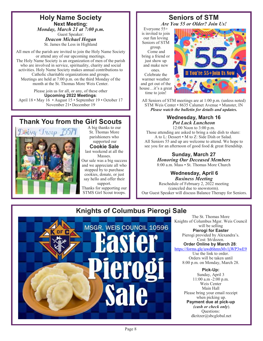**Holy Name Society Next Meeting:**  *Monday, March 21 at 7:00 p.m.*  Guest Speaker: *Deacon Michael Hogan*  St. James the Less in Highland

All men of the parish are invited to join the Holy Name Society or attend any of our upcoming meetings. The Holy Name Society is an organization of men of the parish who are involved in service, spirituality, charity and social activities. Holy Name Society makes annual contributions to Catholic charitable organizations and groups. Meetings are held at 7:00 p.m. on the third Monday of the month at the St. Thomas More Weis Center.

Please join us for all, or any, of these other **Upcoming 2022 Meetings**: April 18 • May 16 • August 15 • September 19 • October 17 November 21• December 19

# **Thank You from the Girl Scouts**



A big thanks to our St. Thomas More parishioners who supported our

**Cookie Sale**  last weekend at all the

Masses. Our sale was a big success and we appreciate all who stopped by to purchase cookies, donate, or just say hello and offer their

support. Thanks for supporting our STMS Girl Scout troops.

### **Seniors of STM**  *Are You 55 or Older? Join Us!*

Everyone 55+ is invited to join our fun loving Seniors of STM group. Come and bring a friend or just show up and make new ones. Celebrate the warmer weather and get out of the

house…it's a great time to join!



All Seniors of STM meetings are at 1:00 p.m. (unless noted) STM Weis Center • 8635 Calumet Avenue • Munster, IN *Please watch the bulletin for details and updates.* 

#### **Wednesday, March 16**  *Pot Luck Luncheon*

12:00 Noon to 3:00 p.m. Those attending are asked to bring a side dish to share: A to L: Dessert • M to Z: Side Dish or Salad. All Seniors 55 and up are welcome to attend. We hope to see you for an afternoon of good food & great friendship.

> **Sunday, March 27**  *Honoring Our Deceased Members*  8:00 a.m. Mass • St. Thomas More Church

#### **Wednesday, April 6**  *Business Meeting*

Reschedule of February 2, 2022 meeting (canceled due to snowstorm). Our Guest Speaker will discuss Balance Therapy for Seniors.

# **Knights of Columbus Pierogi Sale**



The St. Thomas More Knights of Columbus Mgsr. Weis Council will be selling **Pierogi for Easter**  Pierogi provided by Alexandra's. Cost: \$6/dozen.

**Order Online by March 28**: https://forms.gle/uwd6hmxMv1jWP3wE9 Use the link to order. Orders will be taken until

8:00 p.m. on Monday, March 28.

**Pick-Up:** 

Sunday, April 3 11:00 a.m -2:00 p.m. Weis Center Main Hall Please bring your email receipt when picking up. **Payment due at pick-up**   *(cash or check only*). Questions: dkritzer@sbcglobal.net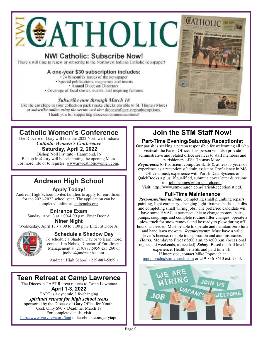

# **NWI Catholic: Subscribe Now!**

There's still time to renew or subscribe to the Northwest Indiana Catholic newspaper!

### **A one-year \$30 subscription includes:**

- 24 bimonthly issues of the newspaper
- Special publications, magazines and inserts
	- Annual Diocesan Directory
- Coverage of local stories, events, and inspiring features

### *Subscribe now through March 18*.

Use the envelope in your collection pack (make checks payable to St. Thomas More) or *subscribe online using the secure website:* dioceseofgary.org/subscriptions. Thank you for supporting diocesan communications!



# **Catholic Women's Conference**

The Diocese of Gary will host the 2022 Northwest Indiana *Catholic Women's Conference*   **Saturday, April 2, 2022** 

# Bishop Noll Institute • Hammond, IN

 Bishop McClory will be celebrating the opening Mass. For more info or to register: www.nwicatholicwomen.com.

# **Andrean High School**

## **Apply Today!**

Andrean High School invites families to apply for enrollment for the 2021-2022 school year. The application can be completed online at andreanhs.org.

### **Entrance Exam**

Sunday, April 3 at 1:00-4:00 p.m. Enter Door A **Niner Night** 

Wednesday, April 13 • 7:00 to 8:00 p.m. Enter at Door A.



### **Schedule a Shadow Day**

To schedule a Shadow Day or to learn more, contact Jim Nohos, Director of Enrollment Management at 219.887.5959 ext. 260 or jnohos@andreanhs.com.

Andrean High School • 219-887-5959 •

# **Teen Retreat at Camp Lawrence**

The Diocesan TAPT Retreat returns to Camp Lawrence **April 1-3, 2022**  TAPT is a dynamic, life-changing *spiritual retreat for high school teens*  sponsored by the Diocese of Gary Office for Youth. Cost: Only \$90 • Deadline: March 18 For complete details, visit http://www.garyoyya.org/tapt or facebook.com/garytapt.

# **Join the STM Staff Now!**

### **Part-Time Evening/Saturday Receptionist**

Our parish is seeking a person responsible for welcoming all who visit/call the Parish Office. This person will also provide administrative and related office services to staff members and parishioners of St. Thomas More.

*Requirements:* Proficient computer skills & at least 3 years of experience as a receptionist/admin assistant. Proficiency in MS Office a must; experience with Parish Data Systems & QuickBooks a plus. If qualified, submit a cover letter & resume to: jobopenings@stm-church.com.

Visit: http://www.stm-church.com/ParishReceptionist.pdf.

### **Full-Time Maintenance**

*Responsibilities include:* Completing small plumbing repairs, painting, light carpentry, changing light fixtures, ballasts, bulbs and completing small wiring jobs. The preferred candidate will have some HVAC experience: able to change motors, belts, pumps, couplings and complete routine filter changes, operate a plow truck for snow removal and be ready to plow during off hours, as needed. Must be able to operate and maintain zero turn and hand lawn mowers . *Requirements:* Must have a valid driver's license, reliable transportation and auto insurance. *Hours:* Monday to Friday 8:00 a.m. to 4:00 p.m. (occasional nights and weekends, as needed). *Salary*: Based on skill level/ experience. Health benefits and paid time off. If interested, contact Mike Popovich at

mpopovich@stm-church.com or 219-836-8610 ext. 2313.